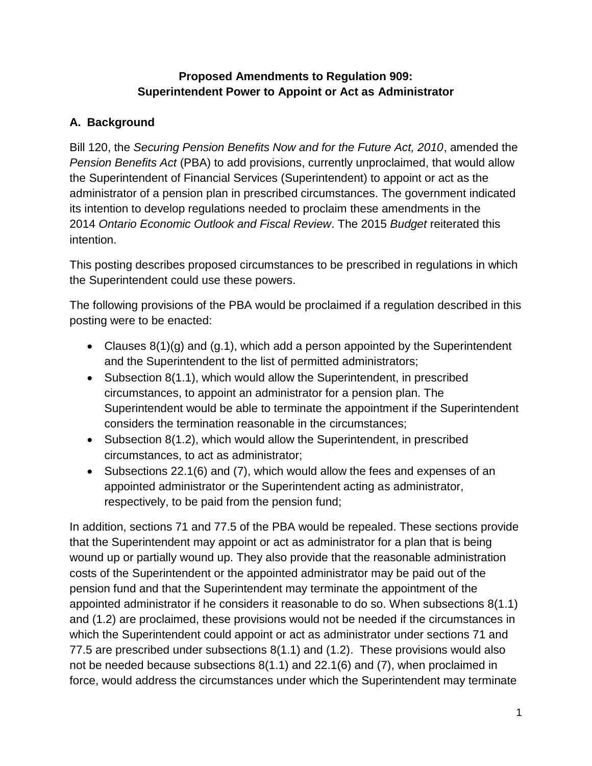## **Proposed Amendments to Regulation 909: Superintendent Power to Appoint or Act as Administrator**

## **A. Background**

Bill 120, the *Securing Pension Benefits Now and for the Future Act, 2010*, amended the *Pension Benefits Act* (PBA) to add provisions, currently unproclaimed, that would allow the Superintendent of Financial Services (Superintendent) to appoint or act as the administrator of a pension plan in prescribed circumstances. The government indicated its intention to develop regulations needed to proclaim these amendments in the 2014 *Ontario Economic Outlook and Fiscal Review*. The 2015 *Budget* reiterated this intention.

This posting describes proposed circumstances to be prescribed in regulations in which the Superintendent could use these powers.

The following provisions of the PBA would be proclaimed if a regulation described in this posting were to be enacted:

- Clauses  $8(1)(q)$  and  $(q.1)$ , which add a person appointed by the Superintendent and the Superintendent to the list of permitted administrators;
- Subsection 8(1.1), which would allow the Superintendent, in prescribed circumstances, to appoint an administrator for a pension plan. The Superintendent would be able to terminate the appointment if the Superintendent considers the termination reasonable in the circumstances;
- Subsection 8(1.2), which would allow the Superintendent, in prescribed circumstances, to act as administrator;
- Subsections 22.1(6) and (7), which would allow the fees and expenses of an appointed administrator or the Superintendent acting as administrator, respectively, to be paid from the pension fund;

In addition, sections 71 and 77.5 of the PBA would be repealed. These sections provide that the Superintendent may appoint or act as administrator for a plan that is being wound up or partially wound up. They also provide that the reasonable administration costs of the Superintendent or the appointed administrator may be paid out of the pension fund and that the Superintendent may terminate the appointment of the appointed administrator if he considers it reasonable to do so. When subsections 8(1.1) and (1.2) are proclaimed, these provisions would not be needed if the circumstances in which the Superintendent could appoint or act as administrator under sections 71 and 77.5 are prescribed under subsections 8(1.1) and (1.2). These provisions would also not be needed because subsections 8(1.1) and 22.1(6) and (7), when proclaimed in force, would address the circumstances under which the Superintendent may terminate